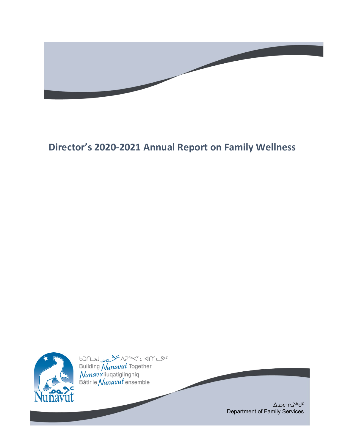

# **Director's 2020-2021 Annual Report on Family Wellness**



bJN<sub>JU D</sub>e <sup>34</sup> AP<sup>56</sup>K<sup>6</sup>CM<sup>6</sup>C<sup>90</sup><br>Building *Nunavut* Together<br>*Nunavu* liuqatigiingniq<br>Bâtir le *Nunavut* ensemble

ᐃᓄᓕᕆᔨᒃᑯᑦ Department of Family Services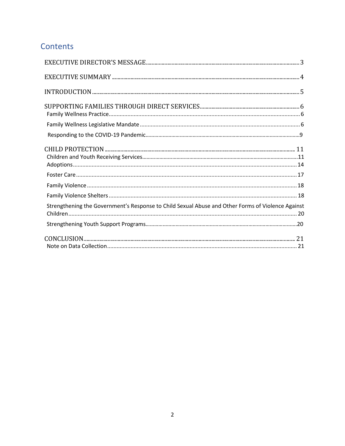# Contents

| INTRODUCTION 5                                                                                    |  |
|---------------------------------------------------------------------------------------------------|--|
|                                                                                                   |  |
|                                                                                                   |  |
|                                                                                                   |  |
|                                                                                                   |  |
|                                                                                                   |  |
|                                                                                                   |  |
|                                                                                                   |  |
| Strengthening the Government's Response to Child Sexual Abuse and Other Forms of Violence Against |  |
|                                                                                                   |  |
|                                                                                                   |  |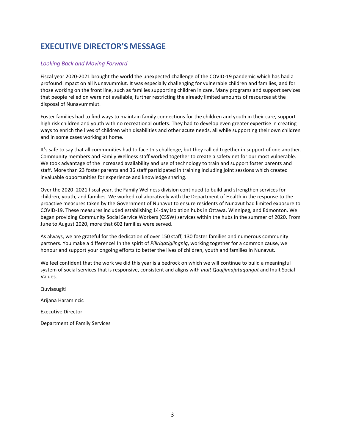# <span id="page-2-0"></span>**EXECUTIVE DIRECTOR'S MESSAGE**

#### *Looking Back and Moving Forward*

Fiscal year 2020-2021 brought the world the unexpected challenge of the COVID-19 pandemic which has had a profound impact on all Nunavummiut. It was especially challenging for vulnerable children and families, and for those working on the front line, such as families supporting children in care. Many programs and support services that people relied on were not available, further restricting the already limited amounts of resources at the disposal of Nunavummiut.

Foster families had to find ways to maintain family connections for the children and youth in their care, support high risk children and youth with no recreational outlets. They had to develop even greater expertise in creating ways to enrich the lives of children with disabilities and other acute needs, all while supporting their own children and in some cases working at home.

It's safe to say that all communities had to face this challenge, but they rallied together in support of one another. Community members and Family Wellness staff worked together to create a safety net for our most vulnerable. We took advantage of the increased availability and use of technology to train and support foster parents and staff. More than 23 foster parents and 36 staff participated in training including joint sessions which created invaluable opportunities for experience and knowledge sharing.

Over the 2020–2021 fiscal year, the Family Wellness division continued to build and strengthen services for children, youth, and families. We worked collaboratively with the Department of Health in the response to the proactive measures taken by the Government of Nunavut to ensure residents of Nunavut had limited exposure to COVID-19. These measures included establishing 14-day isolation hubs in Ottawa, Winnipeg, and Edmonton. We began providing Community Social Service Workers (CSSW) services within the hubs in the summer of 2020. From June to August 2020, more that 602 families were served.

As always, we are grateful for the dedication of over 150 staff, 130 foster families and numerous community partners. You make a difference! In the spirit of *Piliriqatigiingniq*, working together for a common cause, we honour and support your ongoing efforts to better the lives of children, youth and families in Nunavut.

We feel confident that the work we did this year is a bedrock on which we will continue to build a meaningful system of social services that is responsive, consistent and aligns with *Inuit Qaujjimajatuqangut* and Inuit Social Values.

Quviasugit! Arijana Haramincic Executive Director Department of Family Services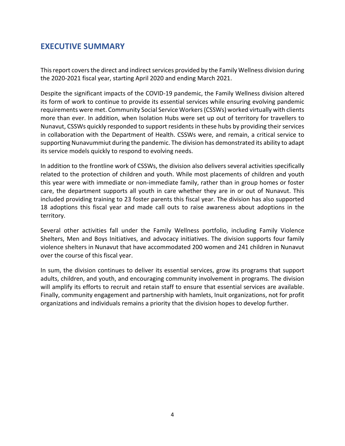# <span id="page-3-0"></span>**EXECUTIVE SUMMARY**

This report covers the direct and indirect services provided by the Family Wellness division during the 2020-2021 fiscal year, starting April 2020 and ending March 2021.

Despite the significant impacts of the COVID-19 pandemic, the Family Wellness division altered its form of work to continue to provide its essential services while ensuring evolving pandemic requirements were met. Community Social Service Workers (CSSWs) worked virtually with clients more than ever. In addition, when Isolation Hubs were set up out of territory for travellers to Nunavut, CSSWs quickly responded to support residents in these hubs by providing their services in collaboration with the Department of Health. CSSWs were, and remain, a critical service to supporting Nunavummiut during the pandemic. The division has demonstrated its ability to adapt its service models quickly to respond to evolving needs.

In addition to the frontline work of CSSWs, the division also delivers several activities specifically related to the protection of children and youth. While most placements of children and youth this year were with immediate or non-immediate family, rather than in group homes or foster care, the department supports all youth in care whether they are in or out of Nunavut. This included providing training to 23 foster parents this fiscal year. The division has also supported 18 adoptions this fiscal year and made call outs to raise awareness about adoptions in the territory.

Several other activities fall under the Family Wellness portfolio, including Family Violence Shelters, Men and Boys Initiatives, and advocacy initiatives. The division supports four family violence shelters in Nunavut that have accommodated 200 women and 241 children in Nunavut over the course of this fiscal year.

In sum, the division continues to deliver its essential services, grow its programs that support adults, children, and youth, and encouraging community involvement in programs. The division will amplify its efforts to recruit and retain staff to ensure that essential services are available. Finally, community engagement and partnership with hamlets, Inuit organizations, not for profit organizations and individuals remains a priority that the division hopes to develop further.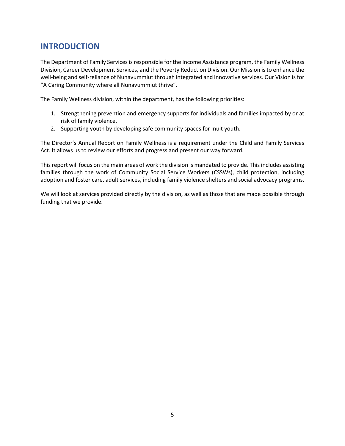# <span id="page-4-0"></span>**INTRODUCTION**

The Department of Family Services is responsible for the Income Assistance program, the Family Wellness Division, Career Development Services, and the Poverty Reduction Division. Our Mission is to enhance the well-being and self-reliance of Nunavummiut through integrated and innovative services. Our Vision is for "A Caring Community where all Nunavummiut thrive".

The Family Wellness division, within the department, has the following priorities:

- 1. Strengthening prevention and emergency supports for individuals and families impacted by or at risk of family violence.
- 2. Supporting youth by developing safe community spaces for Inuit youth.

The Director's Annual Report on Family Wellness is a requirement under the Child and Family Services Act. It allows us to review our efforts and progress and present our way forward.

This report will focus on the main areas of work the division is mandated to provide. This includes assisting families through the work of Community Social Service Workers (CSSWs), child protection, including adoption and foster care, adult services, including family violence shelters and social advocacy programs.

We will look at services provided directly by the division, as well as those that are made possible through funding that we provide.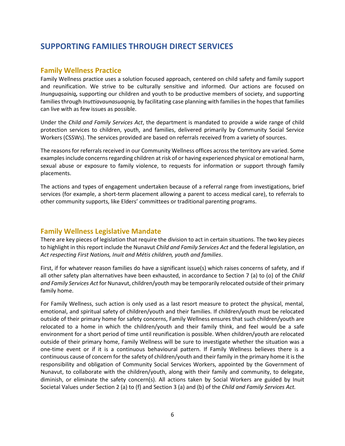## <span id="page-5-0"></span>**SUPPORTING FAMILIES THROUGH DIRECT SERVICES**

#### <span id="page-5-1"></span>**Family Wellness Practice**

Family Wellness practice uses a solution focused approach, centered on child safety and family support and reunification. We strive to be culturally sensitive and informed. Our actions are focused on *Inunguqsainiq,* supporting our children and youth to be productive members of society, and supporting families through *Inuttiavaunasuaqniq,* by facilitating case planning with families in the hopes that families can live with as few issues as possible.

Under the *Child and Family Services Act*, the department is mandated to provide a wide range of child protection services to children, youth, and families, delivered primarily by Community Social Service Workers (CSSWs). The services provided are based on referrals received from a variety of sources.

The reasons for referrals received in our Community Wellness offices across the territory are varied. Some examples include concerns regarding children at risk of or having experienced physical or emotional harm, sexual abuse or exposure to family violence, to requests for information or support through family placements.

The actions and types of engagement undertaken because of a referral range from investigations, brief services (for example, a short-term placement allowing a parent to access medical care), to referrals to other community supports, like Elders' committees or traditional parenting programs.

### <span id="page-5-2"></span>**Family Wellness Legislative Mandate**

There are key pieces of legislation that require the division to act in certain situations. The two key pieces to highlight in this report include the Nunavut *Child and Family Services Act* and the federal legislation, *an Act respecting First Nations, Inuit and Métis children, youth and families*.

First, if for whatever reason families do have a significant issue(s) which raises concerns of safety, and if all other safety plan alternatives have been exhausted, in accordance to Section 7 (a) to (o) of the *Child and Family Services Act* for Nunavut, children/youth may be temporarily relocated outside of their primary family home.

For Family Wellness, such action is only used as a last resort measure to protect the physical, mental, emotional, and spiritual safety of children/youth and their families. If children/youth must be relocated outside of their primary home for safety concerns, Family Wellness ensures that such children/youth are relocated to a home in which the children/youth and their family think, and feel would be a safe environment for a short period of time until reunification is possible. When children/youth are relocated outside of their primary home, Family Wellness will be sure to investigate whether the situation was a one-time event or if it is a continuous behavioural pattern. If Family Wellness believes there is a continuous cause of concern for the safety of children/youth and their family in the primary home it is the responsibility and obligation of Community Social Services Workers, appointed by the Government of Nunavut, to collaborate with the children/youth, along with their family and community, to delegate, diminish, or eliminate the safety concern(s). All actions taken by Social Workers are guided by Inuit Societal Values under Section 2 (a) to (f) and Section 3 (a) and (b) of the *Child and Family Services Act.*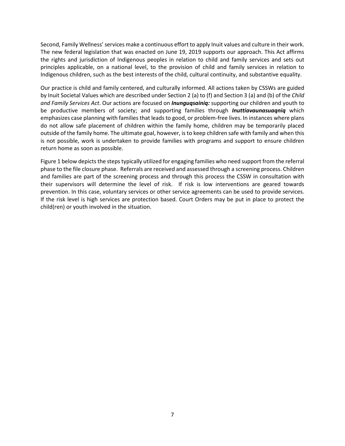Second, Family Wellness' services make a continuous effort to apply Inuit values and culture in their work. The new federal legislation that was enacted on June 19, 2019 supports our approach. This Act affirms the rights and jurisdiction of Indigenous peoples in relation to child and family services and sets out principles applicable, on a national level, to the provision of child and family services in relation to Indigenous children, such as the best interests of the child, cultural continuity, and substantive equality.

Our practice is child and family centered, and culturally informed. All actions taken by CSSWs are guided by Inuit Societal Values which are described under Section 2 (a) to (f) and Section 3 (a) and (b) of the *Child and Family Services Act*. Our actions are focused on *Inunguqsainiq:* supporting our children and youth to be productive members of society; and supporting families through *Inuttiavaunasuaqniq* which emphasizes case planning with families that leads to good, or problem-free lives. In instances where plans do not allow safe placement of children within the family home, children may be temporarily placed outside of the family home. The ultimate goal, however, is to keep children safe with family and when this is not possible, work is undertaken to provide families with programs and support to ensure children return home as soon as possible.

Figure 1 below depicts the steps typically utilized for engaging families who need support from the referral phase to the file closure phase. Referrals are received and assessed through a screening process. Children and families are part of the screening process and through this process the CSSW in consultation with their supervisors will determine the level of risk. If risk is low interventions are geared towards prevention. In this case, voluntary services or other service agreements can be used to provide services. If the risk level is high services are protection based. Court Orders may be put in place to protect the child(ren) or youth involved in the situation.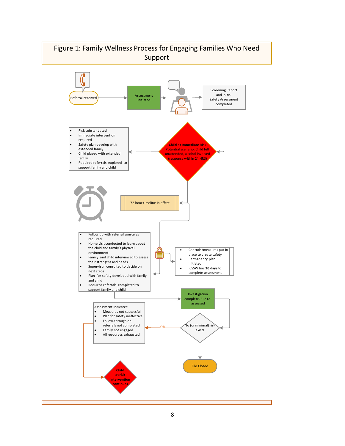# Figure 1: Family Wellness Process for Engaging Families Who Need Support

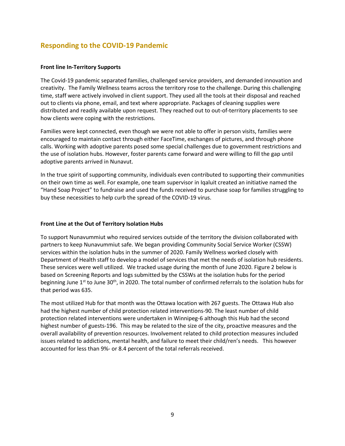### **Responding to the COVID-19 Pandemic**

#### **Front line In-Territory Supports**

The Covid-19 pandemic separated families, challenged service providers, and demanded innovation and creativity. The Family Wellness teams across the territory rose to the challenge. During this challenging time, staff were actively involved in client support. They used all the tools at their disposal and reached out to clients via phone, email, and text where appropriate. Packages of cleaning supplies were distributed and readily available upon request. They reached out to out-of-territory placements to see how clients were coping with the restrictions.

Families were kept connected, even though we were not able to offer in person visits, families were encouraged to maintain contact through either FaceTime, exchanges of pictures, and through phone calls. Working with adoptive parents posed some special challenges due to government restrictions and the use of isolation hubs. However, foster parents came forward and were willing to fill the gap until adoptive parents arrived in Nunavut.

In the true spirit of supporting community, individuals even contributed to supporting their communities on their own time as well. For example, one team supervisor in Iqaluit created an initiative named the "Hand Soap Project" to fundraise and used the funds received to purchase soap for families struggling to buy these necessities to help curb the spread of the COVID-19 virus.

#### **Front Line at the Out of Territory Isolation Hubs**

To support Nunavummiut who required services outside of the territory the division collaborated with partners to keep Nunavummiut safe. We began providing Community Social Service Worker (CSSW) services within the isolation hubs in the summer of 2020. Family Wellness worked closely with Department of Health staff to develop a model of services that met the needs of isolation hub residents. These services were well utilized. We tracked usage during the month of June 2020. Figure 2 below is based on Screening Reports and logs submitted by the CSSWs at the isolation hubs for the period beginning June  $1<sup>st</sup>$  to June 30<sup>th</sup>, in 2020. The total number of confirmed referrals to the isolation hubs for that period was 635.

The most utilized Hub for that month was the Ottawa location with 267 guests. The Ottawa Hub also had the highest number of child protection related interventions-90. The least number of child protection related interventions were undertaken in Winnipeg-6 although this Hub had the second highest number of guests-196. This may be related to the size of the city, proactive measures and the overall availability of prevention resources. Involvement related to child protection measures included issues related to addictions, mental health, and failure to meet their child/ren's needs. This however accounted for less than 9%- or 8.4 percent of the total referrals received.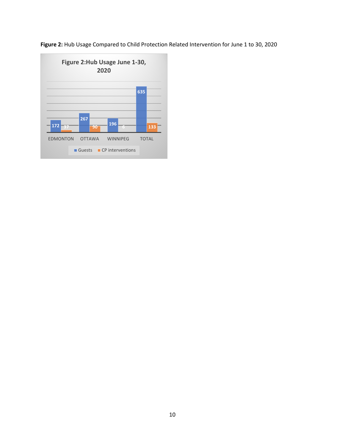

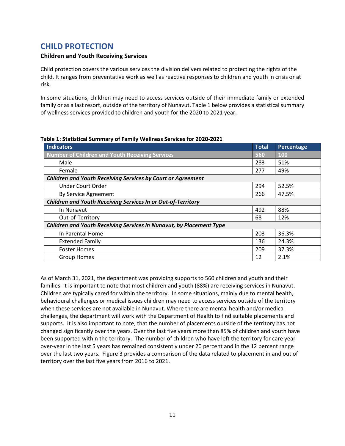# <span id="page-10-0"></span>**CHILD PROTECTION**

#### **Children and Youth Receiving Services**

Child protection covers the various services the division delivers related to protecting the rights of the child. It ranges from preventative work as well as reactive responses to children and youth in crisis or at risk.

In some situations, children may need to access services outside of their immediate family or extended family or as a last resort, outside of the territory of Nunavut. Table 1 below provides a statistical summary of wellness services provided to children and youth for the 2020 to 2021 year.

| <b>Indicators</b>                                                   | <b>Total</b> | Percentage |  |
|---------------------------------------------------------------------|--------------|------------|--|
| <b>Number of Children and Youth Receiving Services</b>              | 560          | <b>100</b> |  |
| Male                                                                | 283          | 51%        |  |
| Female                                                              | 277          | 49%        |  |
| <b>Children and Youth Receiving Services by Court or Agreement</b>  |              |            |  |
| Under Court Order                                                   | 294          | 52.5%      |  |
| By Service Agreement                                                | 266          | 47.5%      |  |
| <b>Children and Youth Receiving Services In or Out-of-Territory</b> |              |            |  |
| In Nunavut                                                          | 492          | 88%        |  |
| Out-of-Territory                                                    | 68           | 12%        |  |
| Children and Youth Receiving Services in Nunavut, by Placement Type |              |            |  |
| In Parental Home                                                    | 203          | 36.3%      |  |
| <b>Extended Family</b>                                              | 136          | 24.3%      |  |
| <b>Foster Homes</b>                                                 | 209          | 37.3%      |  |
| <b>Group Homes</b>                                                  | 12           | 2.1%       |  |

#### **Table 1: Statistical Summary of Family Wellness Services for 2020-2021**

As of March 31, 2021, the department was providing supports to 560 children and youth and their families. It is important to note that most children and youth (88%) are receiving services in Nunavut. Children are typically cared for within the territory. In some situations, mainly due to mental health, behavioural challenges or medical issues children may need to access services outside of the territory when these services are not available in Nunavut. Where there are mental health and/or medical challenges, the department will work with the Department of Health to find suitable placements and supports. It is also important to note, that the number of placements outside of the territory has not changed significantly over the years. Over the last five years more than 85% of children and youth have been supported within the territory. The number of children who have left the territory for care yearover-year in the last 5 years has remained consistently under 20 percent and in the 12 percent range over the last two years. Figure 3 provides a comparison of the data related to placement in and out of territory over the last five years from 2016 to 2021.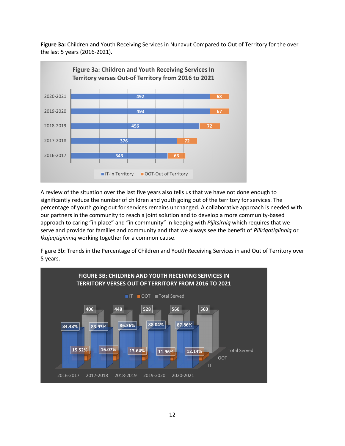**Figure 3a:** Children and Youth Receiving Services in Nunavut Compared to Out of Territory for the over the last 5 years (2016-2021)**.**



A review of the situation over the last five years also tells us that we have not done enough to significantly reduce the number of children and youth going out of the territory for services. The percentage of youth going out for services remains unchanged. A collaborative approach is needed with our partners in the community to reach a joint solution and to develop a more community-based approach to caring "in place" and "in community" in keeping with *Pijitsirniq* which requires that we serve and provide for families and community and that we always see the benefit of *Piliriqatigiinniq* or *Ikajuqtigiinniq* working together for a common cause.

Figure 3b: Trends in the Percentage of Children and Youth Receiving Services in and Out of Territory over 5 years.

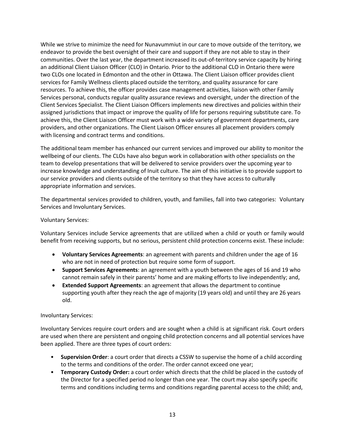While we strive to minimize the need for Nunavummiut in our care to move outside of the territory, we endeavor to provide the best oversight of their care and support if they are not able to stay in their communities. Over the last year, the department increased its out-of-territory service capacity by hiring an additional Client Liaison Officer (CLO) in Ontario. Prior to the additional CLO in Ontario there were two CLOs one located in Edmonton and the other in Ottawa. The Client Liaison officer provides client services for Family Wellness clients placed outside the territory, and quality assurance for care resources. To achieve this, the officer provides case management activities, liaison with other Family Services personal, conducts regular quality assurance reviews and oversight, under the direction of the Client Services Specialist. The Client Liaison Officers implements new directives and policies within their assigned jurisdictions that impact or improve the quality of life for persons requiring substitute care. To achieve this, the Client Liaison Officer must work with a wide variety of government departments, care providers, and other organizations. The Client Liaison Officer ensures all placement providers comply with licensing and contract terms and conditions.

The additional team member has enhanced our current services and improved our ability to monitor the wellbeing of our clients. The CLOs have also begun work in collaboration with other specialists on the team to develop presentations that will be delivered to service providers over the upcoming year to increase knowledge and understanding of Inuit culture. The aim of this initiative is to provide support to our service providers and clients outside of the territory so that they have access to culturally appropriate information and services.

The departmental services provided to children, youth, and families, fall into two categories: Voluntary Services and Involuntary Services.

#### Voluntary Services:

Voluntary Services include Service agreements that are utilized when a child or youth or family would benefit from receiving supports, but no serious, persistent child protection concerns exist. These include:

- **Voluntary Services Agreements**: an agreement with parents and children under the age of 16 who are not in need of protection but require some form of support.
- **Support Services Agreements**: an agreement with a youth between the ages of 16 and 19 who cannot remain safely in their parents' home and are making efforts to live independently; and,
- **Extended Support Agreements**: an agreement that allows the department to continue supporting youth after they reach the age of majority (19 years old) and until they are 26 years old.

#### Involuntary Services:

Involuntary Services require court orders and are sought when a child is at significant risk. Court orders are used when there are persistent and ongoing child protection concerns and all potential services have been applied. There are three types of court orders:

- **Supervision Order**: a court order that directs a CSSW to supervise the home of a child according to the terms and conditions of the order. The order cannot exceed one year;
- **Temporary Custody Order:** a court order which directs that the child be placed in the custody of the Director for a specified period no longer than one year. The court may also specify specific terms and conditions including terms and conditions regarding parental access to the child; and,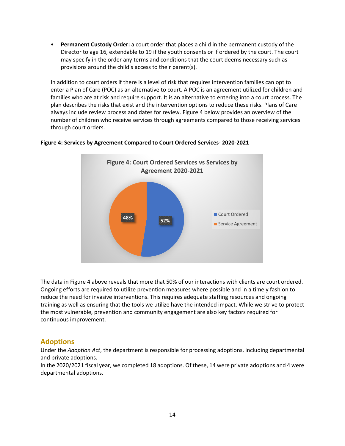• **Permanent Custody Order:** a court order that places a child in the permanent custody of the Director to age 16, extendable to 19 if the youth consents or if ordered by the court. The court may specify in the order any terms and conditions that the court deems necessary such as provisions around the child's access to their parent(s).

In addition to court orders if there is a level of risk that requires intervention families can opt to enter a Plan of Care (POC) as an alternative to court. A POC is an agreement utilized for children and families who are at risk and require support. It is an alternative to entering into a court process. The plan describes the risks that exist and the intervention options to reduce these risks. Plans of Care always include review process and dates for review. Figure 4 below provides an overview of the number of children who receive services through agreements compared to those receiving services through court orders.



#### **Figure 4: Services by Agreement Compared to Court Ordered Services- 2020-2021**

The data in Figure 4 above reveals that more that 50% of our interactions with clients are court ordered. Ongoing efforts are required to utilize prevention measures where possible and in a timely fashion to reduce the need for invasive interventions. This requires adequate staffing resources and ongoing training as well as ensuring that the tools we utilize have the intended impact. While we strive to protect the most vulnerable, prevention and community engagement are also key factors required for continuous improvement.

### <span id="page-13-0"></span>**Adoptions**

Under the *Adoption Act*, the department is responsible for processing adoptions, including departmental and private adoptions.

In the 2020/2021 fiscal year, we completed 18 adoptions. Of these, 14 were private adoptions and 4 were departmental adoptions.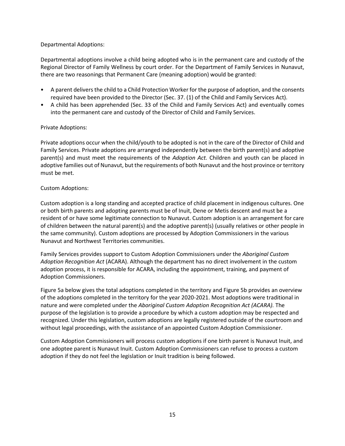#### Departmental Adoptions:

Departmental adoptions involve a child being adopted who is in the permanent care and custody of the Regional Director of Family Wellness by court order. For the Department of Family Services in Nunavut, there are two reasonings that Permanent Care (meaning adoption) would be granted:

- A parent delivers the child to a Child Protection Worker for the purpose of adoption, and the consents required have been provided to the Director (Sec. 37. (1) of the Child and Family Services Act).
- A child has been apprehended (Sec. 33 of the Child and Family Services Act) and eventually comes into the permanent care and custody of the Director of Child and Family Services.

#### Private Adoptions:

Private adoptions occur when the child/youth to be adopted is not in the care of the Director of Child and Family Services. Private adoptions are arranged independently between the birth parent(s) and adoptive parent(s) and must meet the requirements of the *Adoption Act.* Children and youth can be placed in adoptive families out of Nunavut, but the requirements of both Nunavut and the host province or territory must be met.

#### Custom Adoptions:

Custom adoption is a long standing and accepted practice of child placement in indigenous cultures. One or both birth parents and adopting parents must be of Inuit, Dene or Metis descent and must be a resident of or have some legitimate connection to Nunavut. Custom adoption is an arrangement for care of children between the natural parent(s) and the adoptive parent(s) (usually relatives or other people in the same community). Custom adoptions are processed by Adoption Commissioners in the various Nunavut and Northwest Territories communities.

Family Services provides support to Custom Adoption Commissioners under the *Aboriginal Custom Adoption Recognition Act* (ACARA). Although the department has no direct involvement in the custom adoption process, it is responsible for ACARA, including the appointment, training, and payment of Adoption Commissioners.

Figure 5a below gives the total adoptions completed in the territory and Figure 5b provides an overview of the adoptions completed in the territory for the year 2020-2021. Most adoptions were traditional in nature and were completed under the *Aboriginal Custom Adoption Recognition Act (ACARA).* The purpose of the legislation is to provide a procedure by which a custom adoption may be respected and recognized. Under this legislation, custom adoptions are legally registered outside of the courtroom and without legal proceedings, with the assistance of an appointed Custom Adoption Commissioner.

Custom Adoption Commissioners will process custom adoptions if one birth parent is Nunavut Inuit, and one adoptee parent is Nunavut Inuit. Custom Adoption Commissioners can refuse to process a custom adoption if they do not feel the legislation or Inuit tradition is being followed.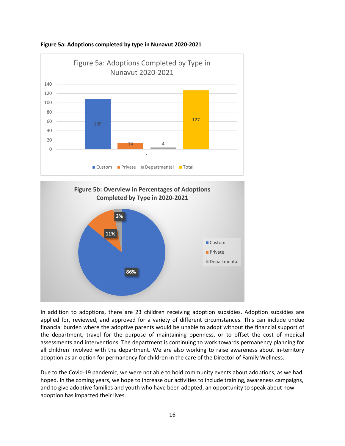





In addition to adoptions, there are 23 children receiving adoption subsidies. Adoption subsidies are applied for, reviewed, and approved for a variety of different circumstances. This can include undue financial burden where the adoptive parents would be unable to adopt without the financial support of the department, travel for the purpose of maintaining openness, or to offset the cost of medical assessments and interventions. The department is continuing to work towards permanency planning for all children involved with the department. We are also working to raise awareness about in-territory adoption as an option for permanency for children in the care of the Director of Family Wellness.

Due to the Covid-19 pandemic, we were not able to hold community events about adoptions, as we had hoped. In the coming years, we hope to increase our activities to include training, awareness campaigns, and to give adoptive families and youth who have been adopted, an opportunity to speak about how adoption has impacted their lives.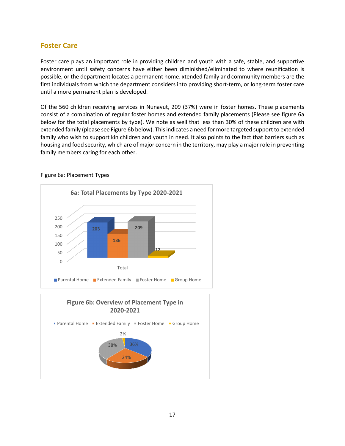### <span id="page-16-0"></span>**Foster Care**

Foster care plays an important role in providing children and youth with a safe, stable, and supportive environment until safety concerns have either been diminished/eliminated to where reunification is possible, or the department locates a permanent home. xtended family and community members are the first individuals from which the department considers into providing short-term, or long-term foster care until a more permanent plan is developed.

Of the 560 children receiving services in Nunavut, 209 (37%) were in foster homes. These placements consist of a combination of regular foster homes and extended family placements (Please see figure 6a below for the total placements by type). We note as well that less than 30% of these children are with extended family (please see Figure 6b below). This indicates a need for more targeted support to extended family who wish to support kin children and youth in need. It also points to the fact that barriers such as housing and food security, which are of major concern in the territory, may play a major role in preventing family members caring for each other.



#### Figure 6a: Placement Types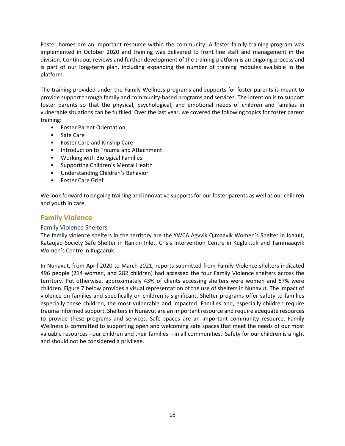Foster homes are an important resource within the community. A foster family training program was implemented in October 2020 and training was delivered to front line staff and management in the division. Continuous reviews and further development of the training platform is an ongoing process and is part of our long-term plan, including expanding the number of training modules available in the platform.

The training provided under the Family Wellness programs and supports for foster parents is meant to provide support through family and community-based programs and services. The intention is to support foster parents so that the physical, psychological, and emotional needs of children and families in vulnerable situations can be fulfilled. Over the last year, we covered the following topics for foster parent training:

- Foster Parent Orientation
- Safe Care
- Foster Care and Kinship Care
- Introduction to Trauma and Attachment
- Working with Biological Families
- Supporting Children's Mental Health
- Understanding Children's Behavior
- Foster Care Grief

We look forward to ongoing training and innovative supports for our foster parents as well as our children and youth in care.

### <span id="page-17-0"></span>**Family Violence**

#### <span id="page-17-1"></span>Family Violence Shelters

The family violence shelters in the territory are the YWCA Agvvik Qimaavik Women's Shelter in Iqaluit, Kataujaq Society Safe Shelter in Rankin Inlet, Crisis Intervention Centre in Kugluktuk and Tammaaqvik Women's Centre in Kugaaruk.

In Nunavut, from April 2020 to March 2021, reports submitted from Family Violence shelters indicated 496 people (214 women, and 282 children) had accessed the four Family Violence shelters across the territory. Put otherwise, approximately 43% of clients accessing shelters were women and 57% were children. Figure 7 below provides a visual representation of the use of shelters in Nunavut. The impact of violence on families and specifically on children is significant. Shelter programs offer safety to families especially these children, the most vulnerable and impacted. Families and, especially children require trauma informed support. Shelters in Nunavut are an important resource and require adequate resources to provide these programs and services. Safe spaces are an important community resource. Family Wellness is committed to supporting open and welcoming safe spaces that meet the needs of our most valuable resources - our children and their families - in all communities. Safety for our children is a right and should not be considered a privilege.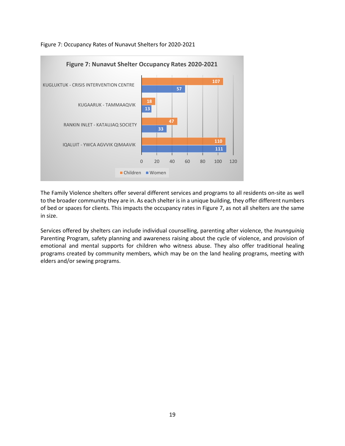

Figure 7: Occupancy Rates of Nunavut Shelters for 2020-2021

The Family Violence shelters offer several different services and programs to all residents on-site as well to the broader community they are in. As each shelter is in a unique building, they offer different numbers of bed or spaces for clients. This impacts the occupancy rates in Figure 7, as not all shelters are the same in size.

Services offered by shelters can include individual counselling, parenting after violence, the *Inunnguiniq* Parenting Program, safety planning and awareness raising about the cycle of violence, and provision of emotional and mental supports for children who witness abuse. They also offer traditional healing programs created by community members, which may be on the land healing programs, meeting with elders and/or sewing programs.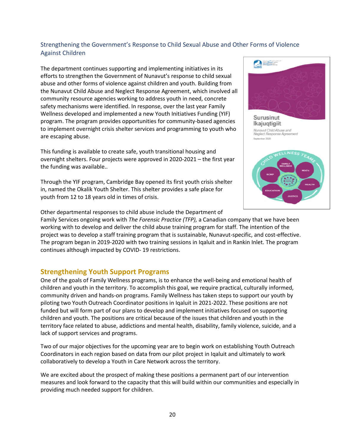### <span id="page-19-0"></span>Strengthening the Government's Response to Child Sexual Abuse and Other Forms of Violence Against Children

The department continues supporting and implementing initiatives in its efforts to strengthen the Government of Nunavut's response to child sexual abuse and other forms of violence against children and youth. Building from the Nunavut Child Abuse and Neglect Response Agreement, which involved all community resource agencies working to address youth in need, concrete safety mechanisms were identified. In response, over the last year Family Wellness developed and implemented a new Youth Initiatives Funding (YIF) program. The program provides opportunities for community-based agencies to implement overnight crisis shelter services and programming to youth who are escaping abuse.

This funding is available to create safe, youth transitional housing and overnight shelters. Four projects were approved in 2020-2021 – the first year the funding was available..

Through the YIF program, Cambridge Bay opened its first youth crisis shelter in, named the Okalik Youth Shelter. This shelter provides a safe place for youth from 12 to 18 years old in times of crisis.



Other departmental responses to child abuse include the Department of

Family Services ongoing work with *The Forensic Practice (TFP),* a Canadian company that we have been working with to develop and deliver the child abuse training program for staff. The intention of the project was to develop a staff training program that is sustainable, Nunavut-specific, and cost-effective. The program began in 2019-2020 with two training sessions in Iqaluit and in Rankin Inlet. The program continues although impacted by COVID- 19 restrictions.

### <span id="page-19-1"></span>**Strengthening Youth Support Programs**

One of the goals of Family Wellness programs, is to enhance the well-being and emotional health of children and youth in the territory. To accomplish this goal, we require practical, culturally informed, community driven and hands-on programs. Family Wellness has taken steps to support our youth by piloting two Youth Outreach Coordinator positions in Iqaluit in 2021-2022. These positions are not funded but will form part of our plans to develop and implement initiatives focused on supporting children and youth. The positions are critical because of the issues that children and youth in the territory face related to abuse, addictions and mental health, disability, family violence, suicide, and a lack of support services and programs.

Two of our major objectives for the upcoming year are to begin work on establishing Youth Outreach Coordinators in each region based on data from our pilot project in Iqaluit and ultimately to work collaboratively to develop a Youth in Care Network across the territory.

We are excited about the prospect of making these positions a permanent part of our intervention measures and look forward to the capacity that this will build within our communities and especially in providing much needed support for children.